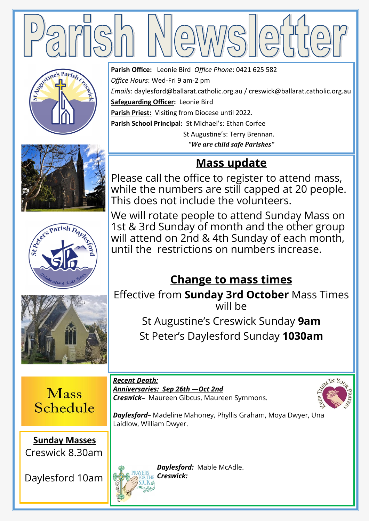

**Parish Office:** Leonie Bird *Office Phone*: 0421 625 582







*Office Hours*: Wed-Fri 9 am-2 pm *Emails*: daylesford@ballarat.catholic.org.au / creswick@ballarat.catholic.org.au **Safeguarding Officer:** Leonie Bird **Parish Priest:** Visiting from Diocese until 2022. **Parish School Principal:** St Michael's: Ethan Corfee St Augustine's: Terry Brennan.

*"We are child safe Parishes"*

## **Mass update**

Please call the office to register to attend mass, while the numbers are still capped at 20 people. This does not include the volunteers.

We will rotate people to attend Sunday Mass on 1st & 3rd Sunday of month and the other group will attend on 2nd & 4th Sunday of each month, until the restrictions on numbers increase.

# **Change to mass times**

Effective from **Sunday 3rd October** Mass Times will be

> St Augustine's Creswick Sunday **9am** St Peter's Daylesford Sunday **1030am**

**Mass** Schedule

**Sunday Masses**  Creswick 8.30am

Daylesford 10am

*Recent Death: Anniversaries: Sep 26th —Oct 2nd Creswick–* Maureen Gibcus, Maureen Symmons.



*Daylesford–* Madeline Mahoney, Phyllis Graham, Moya Dwyer, Una Laidlow, William Dwyer.

*Daylesford:* Mable McAdle. *Creswick:*